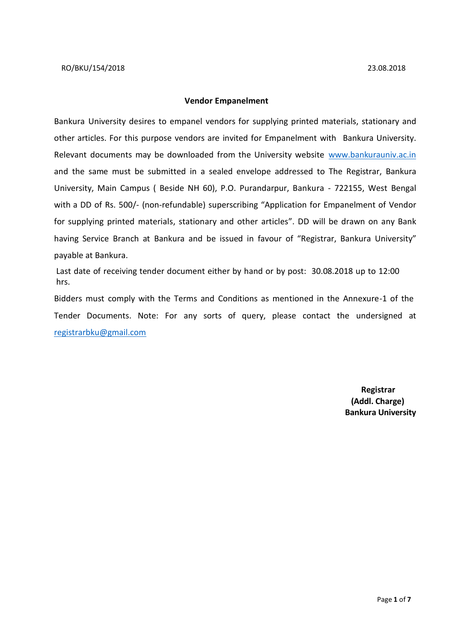#### **Vendor Empanelment**

Bankura University desires to empanel vendors for supplying printed materials, stationary and other articles. For this purpose vendors are invited for Empanelment with Bankura University. Relevant documents may be downloaded from the University website [www.bankurauniv.ac.in](http://www.bankurauniv.ac.in/) and the same must be submitted in a sealed envelope addressed to The Registrar, Bankura University, Main Campus ( Beside NH 60), P.O. Purandarpur, Bankura - 722155, West Bengal with a DD of Rs. 500/- (non-refundable) superscribing "Application for Empanelment of Vendor for supplying printed materials, stationary and other articles". DD will be drawn on any Bank having Service Branch at Bankura and be issued in favour of "Registrar, Bankura University" payable at Bankura.

Last date of receiving tender document either by hand or by post: 30.08.2018 up to 12:00 hrs.

Bidders must comply with the Terms and Conditions as mentioned in the Annexure-1 of the Tender Documents. Note: For any sorts of query, please contact the undersigned at [registrarbku@gmail.com](mailto:%20registrarbku@gmail.com)

> **Registrar (Addl. Charge) Bankura University**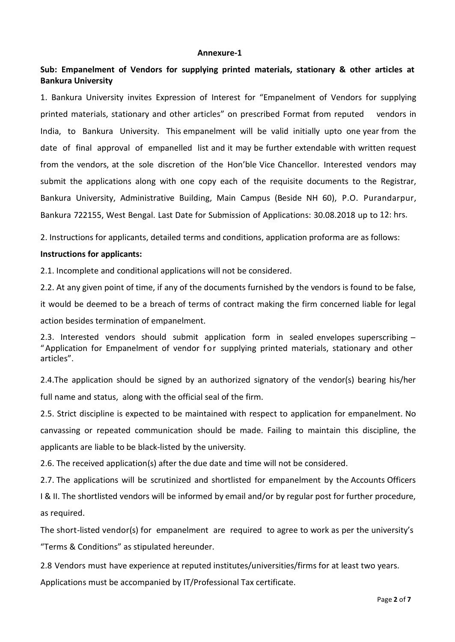#### **Annexure-1**

# **Sub: Empanelment of Vendors for supplying printed materials, stationary & other articles at Bankura University**

1. Bankura University invites Expression of Interest for "Empanelment of Vendors for supplying printed materials, stationary and other articles" on prescribed Format from reputed vendors in India, to Bankura University. This empanelment will be valid initially upto one year from the date of final approval of empanelled list and it may be further extendable with written request from the vendors, at the sole discretion of the Hon'ble Vice Chancellor. Interested vendors may submit the applications along with one copy each of the requisite documents to the Registrar, Bankura University, Administrative Building, Main Campus (Beside NH 60), P.O. Purandarpur, Bankura 722155, West Bengal. Last Date for Submission of Applications: 30.08.2018 up to 12: hrs.

2. Instructions for applicants, detailed terms and conditions, application proforma are as follows:

#### **Instructions for applicants:**

2.1. Incomplete and conditional applications will not be considered.

2.2. At any given point of time, if any of the documents furnished by the vendors is found to be false,

it would be deemed to be a breach of terms of contract making the firm concerned liable for legal action besides termination of empanelment.

2.3. Interested vendors should submit application form in sealed envelopes superscribing – "Application for Empanelment of vendor for supplying printed materials, stationary and other articles".

2.4.The application should be signed by an authorized signatory of the vendor(s) bearing his/her full name and status, along with the official seal of the firm.

2.5. Strict discipline is expected to be maintained with respect to application for empanelment. No canvassing or repeated communication should be made. Failing to maintain this discipline, the applicants are liable to be black-listed by the university.

2.6. The received application(s) after the due date and time will not be considered.

2.7. The applications will be scrutinized and shortlisted for empanelment by the Accounts Officers

I & II. The shortlisted vendors will be informed by email and/or by regular post for further procedure, as required.

The short-listed vendor(s) for empanelment are required to agree to work as per the university's "Terms & Conditions" as stipulated hereunder.

2.8 Vendors must have experience at reputed institutes/universities/firms for at least two years.

Applications must be accompanied by IT/Professional Tax certificate.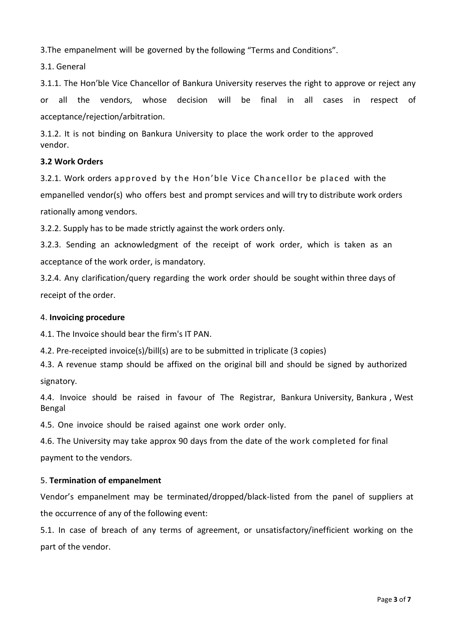3.The empanelment will be governed by the following "Terms and Conditions".

3.1. General

3.1.1. The Hon'ble Vice Chancellor of Bankura University reserves the right to approve or reject any or all the vendors, whose decision will be final in all cases in respect of acceptance/rejection/arbitration.

3.1.2. It is not binding on Bankura University to place the work order to the approved vendor.

### **3.2 Work Orders**

3.2.1. Work orders approved by the Hon'ble Vice Chancellor be placed with the empanelled vendor(s) who offers best and prompt services and will try to distribute work orders rationally among vendors.

3.2.2. Supply has to be made strictly against the work orders only.

3.2.3. Sending an acknowledgment of the receipt of work order, which is taken as an acceptance of the work order, is mandatory.

3.2.4. Any clarification/query regarding the work order should be sought within three days of receipt of the order.

### 4. **Invoicing procedure**

4.1. The Invoice should bear the firm's IT PAN.

4.2. Pre-receipted invoice(s)/bill(s) are to be submitted in triplicate (3 copies)

4.3. A revenue stamp should be affixed on the original bill and should be signed by authorized signatory.

4.4. Invoice should be raised in favour of The Registrar, Bankura University, Bankura , West Bengal

4.5. One invoice should be raised against one work order only.

4.6. The University may take approx 90 days from the date of the work completed for final

payment to the vendors.

# 5. **Termination of empanelment**

Vendor's empanelment may be terminated/dropped/black-listed from the panel of suppliers at the occurrence of any of the following event:

5.1. In case of breach of any terms of agreement, or unsatisfactory/inefficient working on the part of the vendor.